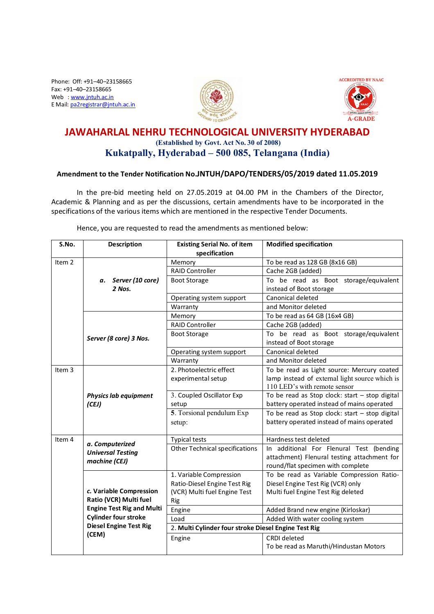Phone: Off: +91–40–23158665 Fax: +91–40–23158665 Web : www.jntuh.ac.in E Mail: pa2registrar@jntuh.ac.in





## **JAWAHARLAL NEHRU TECHNOLOGICAL UNIVERSITY HYDERABAD (Established by Govt. Act No. 30 of 2008) Kukatpally, Hyderabad – 500 085, Telangana (India)**

## **Amendment to the Tender Notification No.JNTUH/DAPO/TENDERS/05/2019 dated 11.05.2019**

In the pre-bid meeting held on 27.05.2019 at 04.00 PM in the Chambers of the Director, Academic & Planning and as per the discussions, certain amendments have to be incorporated in the specifications of the various items which are mentioned in the respective Tender Documents.

**S.No. Description Existing Serial No. of item specification Modified specification** Item 2 *a. Server (10 core) 2 Nos.* Memory To be read as 128 GB (8x16 GB) RAID Controller **Cache 2GB** (added) Boot Storage To be read as Boot storage/equivalent instead of Boot storage Operating system support | Canonical deleted Warranty **and Monitor deleted** *Server (8 core) 3 Nos.* Memory To be read as 64 GB (16x4 GB) RAID Controller **Cache 2GB** (added) Boot Storage To be read as Boot storage/equivalent instead of Boot storage Operating system support Canonical deleted Warranty **and Monitor deleted** Item 3 *Physics lab equipment (CEJ)* 2. Photoelectric effect experimental setup To be read as Light source: Mercury coated lamp instead of external light source which is 110 LED's with remote sensor 3. Coupled Oscillator Exp setup To be read as Stop clock: start – stop digital battery operated instead of mains operated **5**. Torsional pendulum Exp setup: To be read as Stop clock: start – stop digital battery operated instead of mains operated Item 4 *a. Computerized Universal Testing machine (CEJ)* Typical tests **Hardness** test deleted Other Technical specifications | In additional For Flenural Test (bending attachment) Flenural testing attachment for round/flat specimen with complete *c.* **Variable Compression Ratio (VCR) Multi fuel Engine Test Rig and Multi Cylinder four stroke Diesel Engine Test Rig (CEM)** 1. Variable Compression Ratio-Diesel Engine Test Rig (VCR) Multi fuel Engine Test Rig To be read as Variable Compression Ratio-Diesel Engine Test Rig (VCR) only Multi fuel Engine Test Rig deleted Engine **Added Brand new engine (Kirloskar)** Load **Added With water cooling system** 2. **Multi Cylinder four stroke Diesel Engine Test Rig** Engine CRDI deleted To be read as Maruthi/Hindustan Motors

Hence, you are requested to read the amendments as mentioned below: